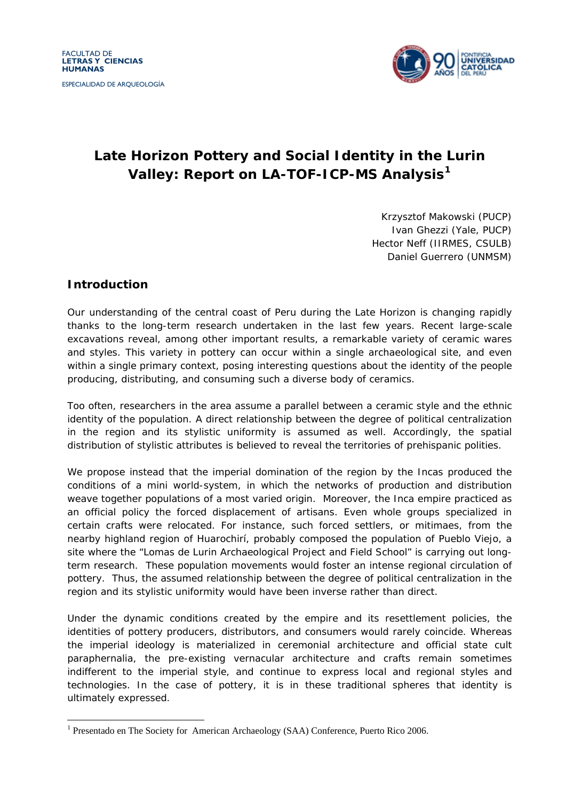

# **Late Horizon Pottery and Social Identity in the Lurin Valley: Report on LA-TOF-ICP-MS Analysis[1](#page-0-0)**

Krzysztof Makowski (PUCP) Ivan Ghezzi (Yale, PUCP) Hector Neff (IIRMES, CSULB) Daniel Guerrero (UNMSM)

## **Introduction**

1

Our understanding of the central coast of Peru during the Late Horizon is changing rapidly thanks to the long-term research undertaken in the last few years. Recent large-scale excavations reveal, among other important results, a remarkable variety of ceramic wares and styles. This variety in pottery can occur within a single archaeological site, and even within a single primary context, posing interesting questions about the identity of the people producing, distributing, and consuming such a diverse body of ceramics.

Too often, researchers in the area assume a parallel between a ceramic style and the ethnic identity of the population. A direct relationship between the degree of political centralization in the region and its stylistic uniformity is assumed as well. Accordingly, the spatial distribution of stylistic attributes is believed to reveal the territories of prehispanic polities.

We propose instead that the imperial domination of the region by the Incas produced the conditions of a mini world-system, in which the networks of production and distribution weave together populations of a most varied origin. Moreover, the Inca empire practiced as an official policy the forced displacement of artisans. Even whole groups specialized in certain crafts were relocated. For instance, such forced settlers, or *mitimaes*, from the nearby highland region of Huarochirí, probably composed the population of Pueblo Viejo, a site where the "Lomas de Lurin Archaeological Project and Field School" is carrying out longterm research. These population movements would foster an intense regional circulation of pottery. Thus, the assumed relationship between the degree of political centralization in the region and its stylistic uniformity would have been inverse rather than direct.

Under the dynamic conditions created by the empire and its resettlement policies, the identities of pottery producers, distributors, and consumers would rarely coincide. Whereas the imperial ideology is materialized in ceremonial architecture and official state cult paraphernalia, the pre-existing vernacular architecture and crafts remain sometimes indifferent to the imperial style, and continue to express local and regional styles and technologies. In the case of pottery, it is in these traditional spheres that identity is ultimately expressed.

<span id="page-0-0"></span><sup>&</sup>lt;sup>1</sup> Presentado en The Society for American Archaeology (SAA) Conference, Puerto Rico 2006.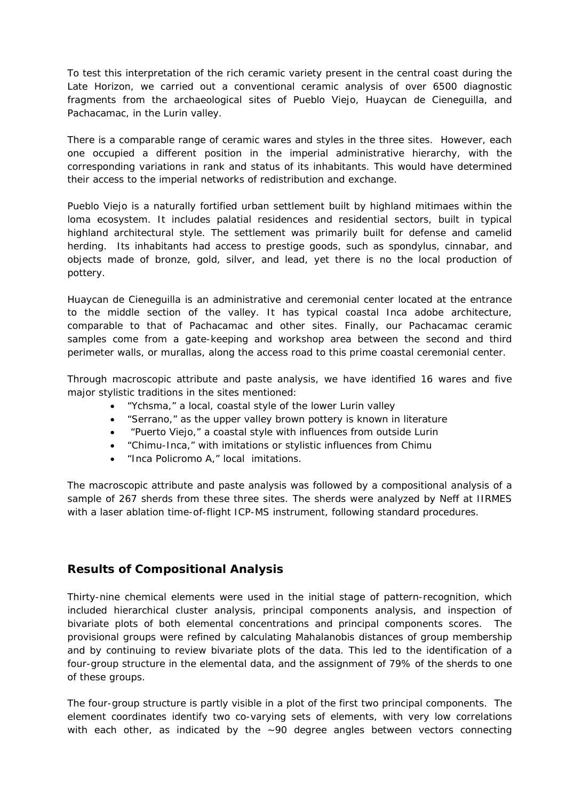To test this interpretation of the rich ceramic variety present in the central coast during the Late Horizon, we carried out a conventional ceramic analysis of over 6500 diagnostic fragments from the archaeological sites of Pueblo Viejo, Huaycan de Cieneguilla, and Pachacamac, in the Lurin valley.

There is a comparable range of ceramic wares and styles in the three sites. However, each one occupied a different position in the imperial administrative hierarchy, with the corresponding variations in rank and status of its inhabitants. This would have determined their access to the imperial networks of redistribution and exchange.

Pueblo Viejo is a naturally fortified urban settlement built by highland *mitimaes* within the *loma* ecosystem. It includes palatial residences and residential sectors, built in typical highland architectural style. The settlement was primarily built for defense and camelid herding. Its inhabitants had access to prestige goods, such as *spondylus*, cinnabar, and objects made of bronze, gold, silver, and lead, yet there is no the local production of pottery.

Huaycan de Cieneguilla is an administrative and ceremonial center located at the entrance to the middle section of the valley. It has typical coastal Inca adobe architecture, comparable to that of Pachacamac and other sites. Finally, our Pachacamac ceramic samples come from a gate-keeping and workshop area between the second and third perimeter walls, or *murallas*, along the access road to this prime coastal ceremonial center.

Through macroscopic attribute and paste analysis, we have identified 16 wares and five major stylistic traditions in the sites mentioned:

- "Ychsma," a local, coastal style of the lower Lurin valley
- "Serrano," as the upper valley brown pottery is known in literature
- "Puerto Viejo," a coastal style with influences from outside Lurin
- "Chimu-Inca," with imitations or stylistic influences from Chimu
- "Inca Policromo A," local imitations.

The macroscopic attribute and paste analysis was followed by a compositional analysis of a sample of 267 sherds from these three sites. The sherds were analyzed by Neff at IIRMES with a laser ablation time-of-flight ICP-MS instrument, following standard procedures.

## **Results of Compositional Analysis**

Thirty-nine chemical elements were used in the initial stage of pattern-recognition, which included hierarchical cluster analysis, principal components analysis, and inspection of bivariate plots of both elemental concentrations and principal components scores. The provisional groups were refined by calculating Mahalanobis distances of group membership and by continuing to review bivariate plots of the data. This led to the identification of a four-group structure in the elemental data, and the assignment of 79% of the sherds to one of these groups.

The four-group structure is partly visible in a plot of the first two principal components. The element coordinates identify two co-varying sets of elements, with very low correlations with each other, as indicated by the  $\sim$ 90 degree angles between vectors connecting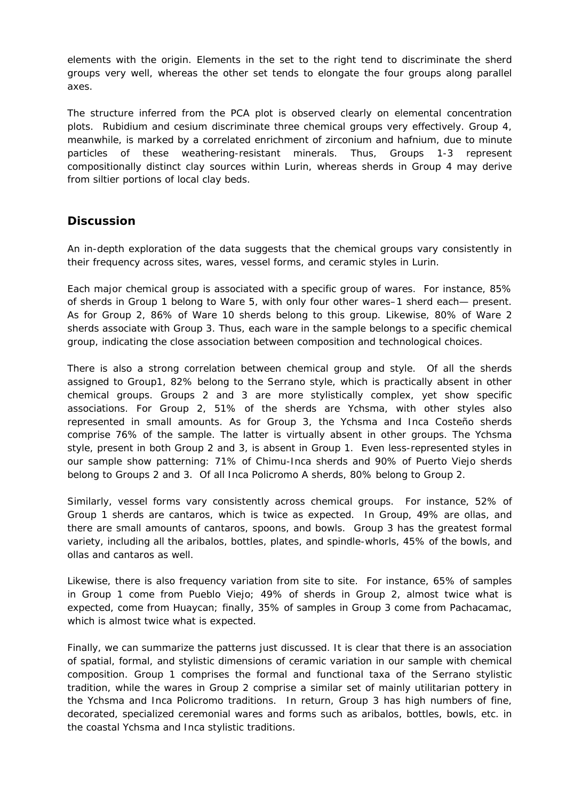elements with the origin. Elements in the set to the right tend to discriminate the sherd groups very well, whereas the other set tends to elongate the four groups along parallel axes.

The structure inferred from the PCA plot is observed clearly on elemental concentration plots. Rubidium and cesium discriminate three chemical groups very effectively. Group 4, meanwhile, is marked by a correlated enrichment of zirconium and hafnium, due to minute particles of these weathering-resistant minerals. Thus, Groups 1-3 represent compositionally distinct clay sources within Lurin, whereas sherds in Group 4 may derive from siltier portions of local clay beds.

#### **Discussion**

An in-depth exploration of the data suggests that the chemical groups vary consistently in their frequency across sites, wares, vessel forms, and ceramic styles in Lurin.

Each major chemical group is associated with a specific group of wares. For instance, 85% of sherds in Group 1 belong to Ware 5, with only four other wares–1 sherd each— present. As for Group 2, 86% of Ware 10 sherds belong to this group. Likewise, 80% of Ware 2 sherds associate with Group 3. Thus, each ware in the sample belongs to a specific chemical group, indicating the close association between composition and technological choices.

There is also a strong correlation between chemical group and style. Of all the sherds assigned to Group1, 82% belong to the Serrano style, which is practically absent in other chemical groups. Groups 2 and 3 are more stylistically complex, yet show specific associations. For Group 2, 51% of the sherds are Ychsma, with other styles also represented in small amounts. As for Group 3, the Ychsma and Inca Costeño sherds comprise 76% of the sample. The latter is virtually absent in other groups. The Ychsma style, present in both Group 2 and 3, is absent in Group 1. Even less-represented styles in our sample show patterning: 71% of Chimu-Inca sherds and 90% of Puerto Viejo sherds belong to Groups 2 and 3. Of all Inca Policromo A sherds, 80% belong to Group 2.

Similarly, vessel forms vary consistently across chemical groups. For instance, 52% of Group 1 sherds are *cantaros*, which is twice as expected. In Group, 49% are *ollas*, and there are small amounts of *cantaros*, spoons, and bowls. Group 3 has the greatest formal variety, including all the *aribalos*, bottles, plates, and spindle-whorls, 45% of the bowls, and *ollas* and *cantaros* as well.

Likewise, there is also frequency variation from site to site. For instance, 65% of samples in Group 1 come from Pueblo Viejo; 49% of sherds in Group 2, almost twice what is expected, come from Huaycan; finally, 35% of samples in Group 3 come from Pachacamac, which is almost twice what is expected.

Finally, we can summarize the patterns just discussed. It is clear that there is an association of spatial, formal, and stylistic dimensions of ceramic variation in our sample with chemical composition. Group 1 comprises the formal and functional taxa of the Serrano stylistic tradition, while the wares in Group 2 comprise a similar set of mainly utilitarian pottery in the Ychsma and Inca Policromo traditions. In return, Group 3 has high numbers of fine, decorated, specialized ceremonial wares and forms such as *aribalos*, bottles, bowls, etc. in the coastal Ychsma and Inca stylistic traditions.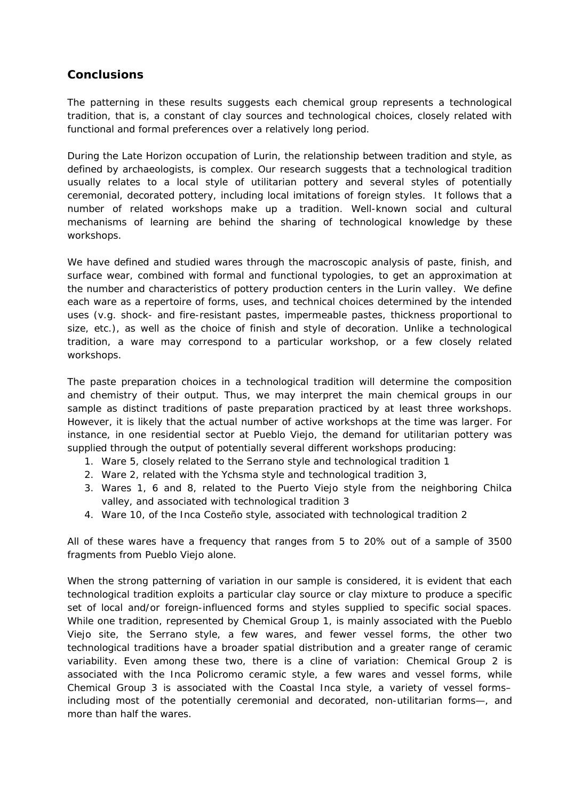#### **Conclusions**

The patterning in these results suggests each chemical group represents a *technological tradition*, that is, a constant of clay sources and technological choices, closely related with functional and formal preferences over a relatively long period.

During the Late Horizon occupation of Lurin, the relationship between tradition and style, as defined by archaeologists, is complex. Our research suggests that a technological tradition usually relates to a local style of utilitarian pottery and several styles of potentially ceremonial, decorated pottery, including local imitations of foreign styles. It follows that a number of related workshops make up a tradition. Well-known social and cultural mechanisms of learning are behind the sharing of technological knowledge by these workshops.

We have defined and studied wares through the macroscopic analysis of paste, finish, and surface wear, combined with formal and functional typologies, to get an approximation at the number and characteristics of pottery production centers in the Lurin valley. We define each ware as a *repertoire* of forms, uses, and technical choices determined by the intended uses (v.g. shock- and fire-resistant pastes, impermeable pastes, thickness proportional to size, etc.), as well as the choice of finish and style of decoration. Unlike a technological tradition, a ware may correspond to a particular workshop, or a few closely related workshops.

The paste preparation choices in a technological tradition will determine the composition and chemistry of their output. Thus, we may interpret the main chemical groups in our sample as distinct traditions of paste preparation practiced by at least three workshops. However, it is likely that the actual number of active workshops at the time was larger. For instance, in one residential sector at Pueblo Viejo, the demand for utilitarian pottery was supplied through the output of potentially several different workshops producing:

- 1. Ware 5, closely related to the Serrano style and technological tradition 1
- 2. Ware 2, related with the Ychsma style and technological tradition 3,
- 3. Wares 1, 6 and 8, related to the Puerto Viejo style from the neighboring Chilca valley, and associated with technological tradition 3
- 4. Ware 10, of the Inca Costeño style, associated with technological tradition 2

All of these wares have a frequency that ranges from 5 to 20% out of a sample of 3500 fragments from Pueblo Viejo alone.

When the strong patterning of variation in our sample is considered, it is evident that each technological tradition exploits a particular clay source or clay mixture to produce a specific set of local and/or foreign-influenced forms and styles supplied to specific social spaces. While one tradition, represented by Chemical Group 1, is mainly associated with the Pueblo Viejo site, the Serrano style, a few wares, and fewer vessel forms, the other two technological traditions have a broader spatial distribution and a greater range of ceramic variability. Even among these two, there is a cline of variation: Chemical Group 2 is associated with the Inca Policromo ceramic style, a few wares and vessel forms, while Chemical Group 3 is associated with the Coastal Inca style, a variety of vessel forms– including most of the potentially ceremonial and decorated, non-utilitarian forms—, and more than half the wares.